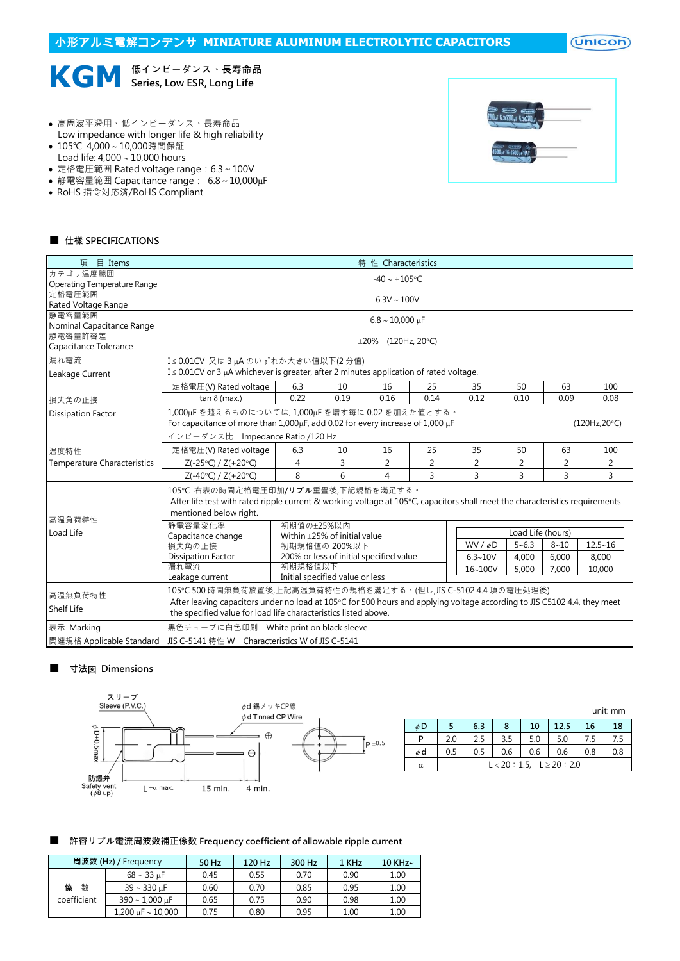$($ Unicon $)$ 



- 高周波平滑用、低インピーダンス、長寿命品
- Low impedance with longer life & high reliability
- 105℃ 4,000~10,000時間保証 Load life:  $4,000 \sim 10,000$  hours
- 
- 定格電圧範囲 Rated voltage range:6.3~100V • 静電容量範囲 Capacitance range: 6.8~10,000μF
- RoHS 指令対応済/RoHS Compliant
- 

## ■ 仕樣 SPECIFICATIONS

| 項 目 Items                          |                                                                                                                                                                                                                                                               |                                       |                                               | 特 性 Characteristics |                |                |                   |                |                |  |  |
|------------------------------------|---------------------------------------------------------------------------------------------------------------------------------------------------------------------------------------------------------------------------------------------------------------|---------------------------------------|-----------------------------------------------|---------------------|----------------|----------------|-------------------|----------------|----------------|--|--|
| カテゴリ温度範囲                           |                                                                                                                                                                                                                                                               |                                       |                                               | $-40 \sim +105$ °C  |                |                |                   |                |                |  |  |
| <b>Operating Temperature Range</b> |                                                                                                                                                                                                                                                               |                                       |                                               |                     |                |                |                   |                |                |  |  |
| 定格雷圧範囲<br>Rated Voltage Range      |                                                                                                                                                                                                                                                               |                                       |                                               | $6.3V \sim 100V$    |                |                |                   |                |                |  |  |
| 静電容量範囲                             |                                                                                                                                                                                                                                                               |                                       |                                               |                     |                |                |                   |                |                |  |  |
| Nominal Capacitance Range          |                                                                                                                                                                                                                                                               | $6.8 \sim 10,000 \text{ }\mu\text{F}$ |                                               |                     |                |                |                   |                |                |  |  |
| 静雷容量許容差                            |                                                                                                                                                                                                                                                               | $\pm 20\%$ (120Hz, 20°C)              |                                               |                     |                |                |                   |                |                |  |  |
| Capacitance Tolerance              |                                                                                                                                                                                                                                                               |                                       |                                               |                     |                |                |                   |                |                |  |  |
| 漏れ電流                               |                                                                                                                                                                                                                                                               | I≤0.01CV 又は3µAのいずれか大きい値以下(2分値)        |                                               |                     |                |                |                   |                |                |  |  |
| Leakage Current                    | $I \leq 0.01$ CV or 3 µA whichever is greater, after 2 minutes application of rated voltage.                                                                                                                                                                  |                                       |                                               |                     |                |                |                   |                |                |  |  |
|                                    | 定格電圧(V) Rated voltage                                                                                                                                                                                                                                         | 6.3                                   | 10                                            | 16                  | 25             | 35             | 50                | 63             | 100            |  |  |
| 損失角の正接                             | tan $\delta$ (max.)                                                                                                                                                                                                                                           | 0.22                                  | 0.19                                          | 0.16                | 0.14           | 0.12           | 0.10              | 0.09           | 0.08           |  |  |
| <b>Dissipation Factor</b>          | 1,000uFを越えるものについては,1,000uFを増す每に0.02を加えた値とする。<br>For capacitance of more than 1,000µF, add 0.02 for every increase of 1,000 µF                                                                                                                                 |                                       |                                               |                     |                |                |                   |                | (120Hz, 20°C)  |  |  |
|                                    | インピーダンス比 Impedance Ratio /120 Hz                                                                                                                                                                                                                              |                                       |                                               |                     |                |                |                   |                |                |  |  |
| 温度特性                               | 定格電圧(V) Rated voltage                                                                                                                                                                                                                                         | 6.3                                   | 10                                            | 16                  | 25             | 35             | 50                | 63             | 100            |  |  |
| <b>Temperature Characteristics</b> | $Z(-25°C) / Z(+20°C)$                                                                                                                                                                                                                                         | 4                                     | 3                                             | $\overline{2}$      | $\overline{2}$ | $\overline{2}$ | 2                 | $\overline{2}$ | $\overline{2}$ |  |  |
|                                    | $Z(-40°C) / Z(+20°C)$                                                                                                                                                                                                                                         | 8                                     | 6                                             | 4                   | $\overline{3}$ | 3              | 3                 | $\overline{3}$ | $\overline{3}$ |  |  |
| 高温負荷特性                             | 105℃ 右表の時間定格電圧印加/リプル重畳後,下記規格を滿足する。<br>After life test with rated ripple current & working voltage at 105°C, capacitors shall meet the characteristics requirements<br>mentioned below right.                                                                  |                                       |                                               |                     |                |                |                   |                |                |  |  |
| Load Life                          | 静電容量変化率                                                                                                                                                                                                                                                       | 初期值の±25%以内                            |                                               |                     |                |                | Load Life (hours) |                |                |  |  |
|                                    | Capacitance change<br>損失角の正接                                                                                                                                                                                                                                  |                                       | Within ±25% of initial value<br>初期規格值の 200%以下 |                     |                | $WV / \phi D$  | $5 - 6.3$         | $8 - 10$       | $12.5 - 16$    |  |  |
|                                    | <b>Dissipation Factor</b>                                                                                                                                                                                                                                     |                                       | 200% or less of initial specified value       |                     |                | $6.3 - 10V$    | 4,000             | 6.000          | 8,000          |  |  |
|                                    | 漏れ電流                                                                                                                                                                                                                                                          | 初期規格值以下                               |                                               |                     |                |                |                   |                |                |  |  |
|                                    | Leakage current                                                                                                                                                                                                                                               | 16~100V                               | 5,000                                         | 7,000               | 10,000         |                |                   |                |                |  |  |
| 高温無負荷特性<br><b>Shelf Life</b>       | 105℃ 500 時間無負荷放置後,上記高温負荷特性の規格を滿足する。(但し,JIS C-5102 4.4 項の電圧処理後)<br>After leaving capacitors under no load at 105°C for 500 hours and applying voltage according to JIS C5102 4.4, they meet<br>the specified value for load life characteristics listed above. |                                       |                                               |                     |                |                |                   |                |                |  |  |
| 表示 Marking                         | 黒色チューブに白色印刷 White print on black sleeve                                                                                                                                                                                                                       |                                       |                                               |                     |                |                |                   |                |                |  |  |
| 関連規格 Applicable Standard           | JIS C-5141 特性 W Characteristics W of JIS C-5141                                                                                                                                                                                                               |                                       |                                               |                     |                |                |                   |                |                |  |  |

### ■ 寸法図 Dimensions



|          |     |                                |     |     |      |     | unit: mm |  |  |
|----------|-----|--------------------------------|-----|-----|------|-----|----------|--|--|
| $\phi$ D |     | 6.3                            | 8   | 10  | 12.5 | 16  | 18       |  |  |
| P        | 2.0 | 2.5                            | 3.5 | 5.0 | 5.0  | 7.5 | 7.5      |  |  |
| $\phi$ d | 0.5 | 0.5                            | 0.6 | 0.6 | 0.6  | 0.8 | 0.8      |  |  |
| α        |     | $L < 20 : 1.5, L \ge 20 : 2.0$ |     |     |      |     |          |  |  |

#### ■ 許容リプル電流周波数補正係数 Frequency coefficient of allowable ripple current

|             | 周波数 (Hz) / Frequency        | 50 Hz | 120 Hz | 300 Hz | 1 KHz | $10$ KHz $\sim$ |
|-------------|-----------------------------|-------|--------|--------|-------|-----------------|
|             | $68 \sim 33 \text{ uF}$     | 0.45  | 0.55   | 0.70   | 0.90  | 1.00            |
| 係<br>数      | $39 \sim 330$ uF            | 0.60  | 0.70   | 0.85   | 0.95  | 1.00            |
| coefficient | $390 \sim 1.000 \text{ uF}$ | 0.65  | 0.75   | 0.90   | 0.98  | 1.00            |
|             | $1,200 \mu F \sim 10,000$   | 0.75  | 0.80   | 0.95   | 1.00  | 1.00            |

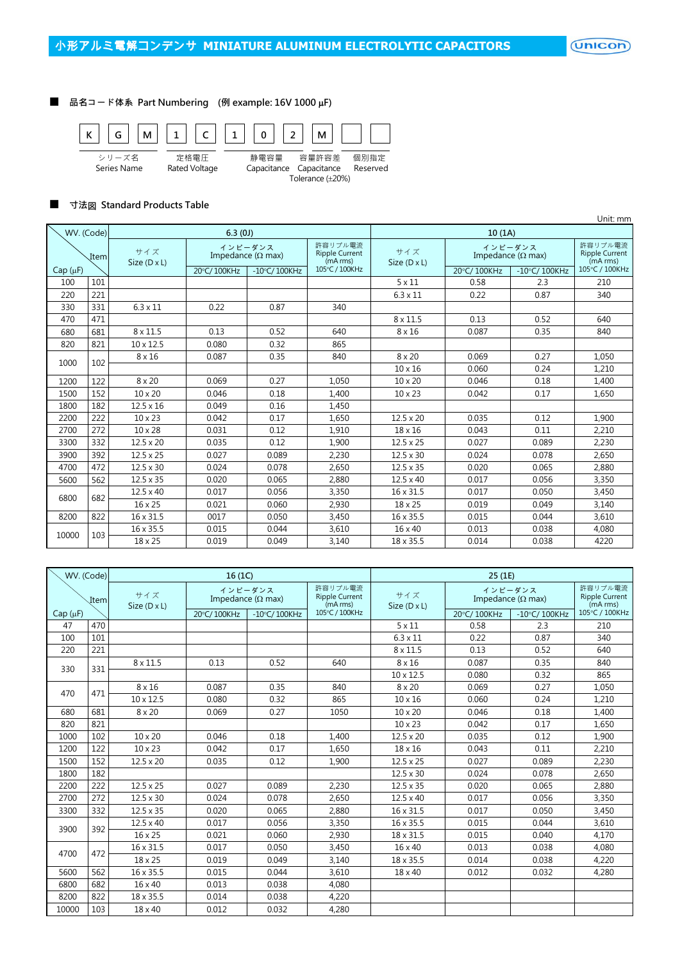■ 品名コード体系 Part Numbering (例 example: 16V 1000 µF)



#### ■ 寸法図 Standard Products Table

|              |                      |                     |                                      |                 |                                              |                            |                                      |                 | Unit: mm                                     |  |
|--------------|----------------------|---------------------|--------------------------------------|-----------------|----------------------------------------------|----------------------------|--------------------------------------|-----------------|----------------------------------------------|--|
|              | WV. (Code)<br>6.3(0) |                     |                                      |                 |                                              | 10(1A)                     |                                      |                 |                                              |  |
| Item         |                      | サイズ<br>Size (D x L) | インピーダンス<br>Impedance ( $\Omega$ max) |                 | 許容リプル電流<br><b>Ripple Current</b><br>(mA rms) | サイズ<br>Size $(D \times L)$ | インピーダンス<br>Impedance ( $\Omega$ max) |                 | 許容リプル電流<br><b>Ripple Current</b><br>(mA rms) |  |
| $Cap(\mu F)$ |                      |                     | 20°C/100KHz                          | $-10$ °C/100KHz | 105°C / 100KHz                               |                            | 20°C/100KHz                          | $-10$ °C/100KHz | 105°C / 100KHz                               |  |
| 100          | 101                  |                     |                                      |                 |                                              | $5 \times 11$              | 0.58                                 | 2.3             | 210                                          |  |
| 220          | 221                  |                     |                                      |                 |                                              | $6.3 \times 11$            | 0.22                                 | 0.87            | 340                                          |  |
| 330          | 331                  | $6.3 \times 11$     | 0.22                                 | 0.87            | 340                                          |                            |                                      |                 |                                              |  |
| 470          | 471                  |                     |                                      |                 |                                              | $8 \times 11.5$            | 0.13                                 | 0.52            | 640                                          |  |
| 680          | 681                  | $8 \times 11.5$     | 0.13                                 | 0.52            | 640                                          | $8 \times 16$              | 0.087                                | 0.35            | 840                                          |  |
| 820          | 821                  | $10 \times 12.5$    | 0.080                                | 0.32            | 865                                          |                            |                                      |                 |                                              |  |
| 1000         | 102                  | $8 \times 16$       | 0.087                                | 0.35            | 840                                          | $8 \times 20$              | 0.069                                | 0.27            | 1,050                                        |  |
|              |                      |                     |                                      |                 |                                              | $10 \times 16$             | 0.060                                | 0.24            | 1,210                                        |  |
| 1200         | 122                  | $8 \times 20$       | 0.069                                | 0.27            | 1,050                                        | 10 x 20                    | 0.046                                | 0.18            | 1,400                                        |  |
| 1500         | 152                  | $10 \times 20$      | 0.046                                | 0.18            | 1,400                                        | $10 \times 23$             | 0.042                                | 0.17            | 1,650                                        |  |
| 1800         | 182                  | $12.5 \times 16$    | 0.049                                | 0.16            | 1,450                                        |                            |                                      |                 |                                              |  |
| 2200         | 222                  | $10 \times 23$      | 0.042                                | 0.17            | 1,650                                        | $12.5 \times 20$           | 0.035                                | 0.12            | 1,900                                        |  |
| 2700         | 272                  | $10 \times 28$      | 0.031                                | 0.12            | 1,910                                        | $18 \times 16$             | 0.043                                | 0.11            | 2,210                                        |  |
| 3300         | 332                  | $12.5 \times 20$    | 0.035                                | 0.12            | 1,900                                        | $12.5 \times 25$           | 0.027                                | 0.089           | 2,230                                        |  |
| 3900         | 392                  | $12.5 \times 25$    | 0.027                                | 0.089           | 2,230                                        | $12.5 \times 30$           | 0.024                                | 0.078           | 2,650                                        |  |
| 4700         | 472                  | $12.5 \times 30$    | 0.024                                | 0.078           | 2,650                                        | $12.5 \times 35$           | 0.020                                | 0.065           | 2,880                                        |  |
| 5600         | 562                  | $12.5 \times 35$    | 0.020                                | 0.065           | 2,880                                        | $12.5 \times 40$           | 0.017                                | 0.056           | 3,350                                        |  |
|              |                      | $12.5 \times 40$    | 0.017                                | 0.056           | 3,350                                        | 16 x 31.5                  | 0.017                                | 0.050           | 3,450                                        |  |
| 6800         | 682                  | $16 \times 25$      | 0.021                                | 0.060           | 2,930                                        | 18 x 25                    | 0.019                                | 0.049           | 3,140                                        |  |
| 8200         | 822                  | 16 x 31.5           | 0017                                 | 0.050           | 3,450                                        | 16 x 35.5                  | 0.015                                | 0.044           | 3,610                                        |  |
|              |                      | 16 x 35.5           | 0.015                                | 0.044           | 3,610                                        | $16 \times 40$             | 0.013                                | 0.038           | 4,080                                        |  |
| 10000        | 103                  | 18 x 25             | 0.019                                | 0.049           | 3,140                                        | 18 x 35.5                  | 0.014                                | 0.038           | 4220                                         |  |

| WV. (Code)   |     |                            | 16(1C)                               |                 |                                              |                            | 25 (1E)                              |                                              |                |
|--------------|-----|----------------------------|--------------------------------------|-----------------|----------------------------------------------|----------------------------|--------------------------------------|----------------------------------------------|----------------|
| Item         |     | サイズ<br>Size $(D \times L)$ | インピーダンス<br>Impedance ( $\Omega$ max) |                 | 許容リプル電流<br><b>Ripple Current</b><br>(mA rms) | サイズ<br>Size $(D \times L)$ | インピーダンス<br>Impedance ( $\Omega$ max) | 許容リプル電流<br><b>Ripple Current</b><br>(mA rms) |                |
| $Cap(\mu F)$ |     |                            | 20°C/100KHz                          | $-10$ °C/100KHz | 105°C / 100KHz                               |                            | 20°C/100KHz                          | $-10^{\circ}$ C/100KHz                       | 105°C / 100KHz |
| 47           | 470 |                            |                                      |                 |                                              | $5 \times 11$              | 0.58                                 | 2.3                                          | 210            |
| 100          | 101 |                            |                                      |                 |                                              | $6.3 \times 11$            | 0.22                                 | 0.87                                         | 340            |
| 220          | 221 |                            |                                      |                 |                                              | $8 \times 11.5$            | 0.13                                 | 0.52                                         | 640            |
| 330          | 331 | $8 \times 11.5$            | 0.13                                 | 0.52            | 640                                          | $8 \times 16$              | 0.087                                | 0.35                                         | 840            |
|              |     |                            |                                      |                 |                                              | $10 \times 12.5$           | 0.080                                | 0.32                                         | 865            |
| 470          | 471 | $8 \times 16$              | 0.087                                | 0.35            | 840                                          | $8 \times 20$              | 0.069                                | 0.27                                         | 1,050          |
|              |     | $10 \times 12.5$           | 0.080                                | 0.32            | 865                                          | $10 \times 16$             | 0.060                                | 0.24                                         | 1,210          |
| 680          | 681 | $8 \times 20$              | 0.069                                | 0.27            | 1050                                         | $10 \times 20$             | 0.046                                | 0.18                                         | 1,400          |
| 820          | 821 |                            |                                      |                 |                                              | $10 \times 23$             | 0.042                                | 0.17                                         | 1,650          |
| 1000         | 102 | $10 \times 20$             | 0.046                                | 0.18            | 1,400                                        | $12.5 \times 20$           | 0.035                                | 0.12                                         | 1,900          |
| 1200         | 122 | $10 \times 23$             | 0.042                                | 0.17            | 1,650                                        | 18 x 16                    | 0.043                                | 0.11                                         | 2,210          |
| 1500         | 152 | $12.5 \times 20$           | 0.035                                | 0.12            | 1,900                                        | $12.5 \times 25$           | 0.027                                | 0.089                                        | 2,230          |
| 1800         | 182 |                            |                                      |                 |                                              | $12.5 \times 30$           | 0.024                                | 0.078                                        | 2,650          |
| 2200         | 222 | $12.5 \times 25$           | 0.027                                | 0.089           | 2,230                                        | $12.5 \times 35$           | 0.020                                | 0.065                                        | 2,880          |
| 2700         | 272 | $12.5 \times 30$           | 0.024                                | 0.078           | 2,650                                        | $12.5 \times 40$           | 0.017                                | 0.056                                        | 3,350          |
| 3300         | 332 | $12.5 \times 35$           | 0.020                                | 0.065           | 2,880                                        | 16 x 31.5                  | 0.017                                | 0.050                                        | 3,450          |
|              |     | $12.5 \times 40$           | 0.017                                | 0.056           | 3,350                                        | 16 x 35.5                  | 0.015                                | 0.044                                        | 3,610          |
| 3900         | 392 | 16 x 25                    | 0.021                                | 0.060           | 2,930                                        | 18 x 31.5                  | 0.015                                | 0.040                                        | 4,170          |
|              | 472 | 16 x 31.5                  | 0.017                                | 0.050           | 3,450                                        | 16 x 40                    | 0.013                                | 0.038                                        | 4.080          |
| 4700         |     | 18 x 25                    | 0.019                                | 0.049           | 3,140                                        | 18 x 35.5                  | 0.014                                | 0.038                                        | 4,220          |
| 5600         | 562 | 16 x 35.5                  | 0.015                                | 0.044           | 3,610                                        | 18 x 40                    | 0.012                                | 0.032                                        | 4,280          |
| 6800         | 682 | $16 \times 40$             | 0.013                                | 0.038           | 4,080                                        |                            |                                      |                                              |                |
| 8200         | 822 | 18 x 35.5                  | 0.014                                | 0.038           | 4,220                                        |                            |                                      |                                              |                |
| 10000        | 103 | 18 x 40                    | 0.012                                | 0.032           | 4,280                                        |                            |                                      |                                              |                |